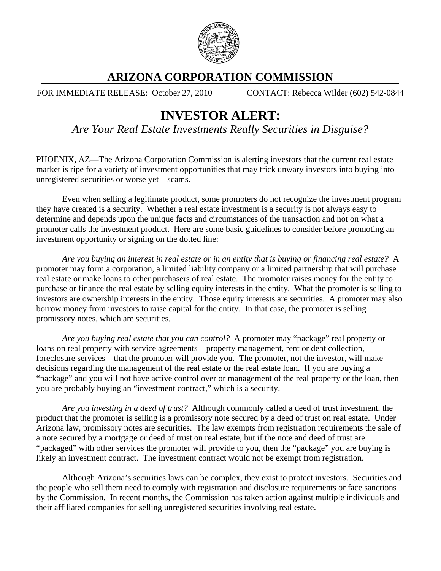

## **ARIZONA CORPORATION COMMISSION**

FOR IMMEDIATE RELEASE: October 27, 2010 CONTACT: Rebecca Wilder (602) 542-0844

## **INVESTOR ALERT:**

*Are Your Real Estate Investments Really Securities in Disguise?*

PHOENIX, AZ—The Arizona Corporation Commission is alerting investors that the current real estate market is ripe for a variety of investment opportunities that may trick unwary investors into buying into unregistered securities or worse yet—scams.

Even when selling a legitimate product, some promoters do not recognize the investment program they have created is a security. Whether a real estate investment is a security is not always easy to determine and depends upon the unique facts and circumstances of the transaction and not on what a promoter calls the investment product. Here are some basic guidelines to consider before promoting an investment opportunity or signing on the dotted line:

*Are you buying an interest in real estate or in an entity that is buying or financing real estate?* A promoter may form a corporation, a limited liability company or a limited partnership that will purchase real estate or make loans to other purchasers of real estate. The promoter raises money for the entity to purchase or finance the real estate by selling equity interests in the entity. What the promoter is selling to investors are ownership interests in the entity. Those equity interests are securities. A promoter may also borrow money from investors to raise capital for the entity. In that case, the promoter is selling promissory notes, which are securities.

*Are you buying real estate that you can control?* A promoter may "package" real property or loans on real property with service agreements—property management, rent or debt collection, foreclosure services—that the promoter will provide you. The promoter, not the investor, will make decisions regarding the management of the real estate or the real estate loan. If you are buying a "package" and you will not have active control over or management of the real property or the loan, then you are probably buying an "investment contract," which is a security.

*Are you investing in a deed of trust?* Although commonly called a deed of trust investment, the product that the promoter is selling is a promissory note secured by a deed of trust on real estate. Under Arizona law, promissory notes are securities. The law exempts from registration requirements the sale of a note secured by a mortgage or deed of trust on real estate, but if the note and deed of trust are "packaged" with other services the promoter will provide to you, then the "package" you are buying is likely an investment contract. The investment contract would not be exempt from registration.

Although Arizona's securities laws can be complex, they exist to protect investors. Securities and the people who sell them need to comply with registration and disclosure requirements or face sanctions by the Commission. In recent months, the Commission has taken action against multiple individuals and their affiliated companies for selling unregistered securities involving real estate.